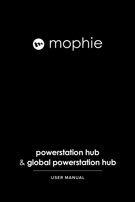# mophie

### **powerstation hub**  & **global powerstation hub**

**USER MANUAL**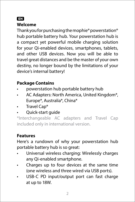#### EN

#### **Welcome**

Thank you for purchasing the mophie® powerstation® hub portable battery hub. Your powerstation hub is a compact yet powerful mobile charging solution for your Qi-enabled devices, smartphones, tablets, and other USB devices. Now you will be able to travel great distances and be the master of your own destiny, no longer bound by the limitations of your device's internal battery!

#### **Package Contains**

- powerstation hub portable battery hub
- AC Adapters: North America, United Kingdom\*, Europe\*, Australia\*, China\*
- Travel Cap\*
- Quick-start guide

\*Interchangeable AC adapters and Travel Cap included only in international version.

#### **Features**

Here's a rundown of why your powerstation hub portable battery hub is so great:

- Universal wireless charging: Wirelessly charges any Qi-enabled smartphone.
- Charges up to four devices at the same time (one wireless and three wired via USB ports).
- USB-C PD input/output port can fast charge at up to 18W.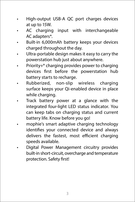- High-output USB-A QC port charges devices at up to 15W.
- AC charging input with interchangeable AC adapters\*.
- Built-in 6,000mAh battery keeps your devices charged throughout the day.
- Ultra-portable design makes it easy to carry the powerstation hub just about anywhere.
- Priority+® charging provides power to charging devices first before the powerstation hub battery starts to recharge.
- Rubberized, non-slip wireless charging surface keeps your Qi-enabled device in place while charging.
- Track battery power at a glance with the integrated four-light LED status indicator. You can keep tabs on charging status and current battery life. Know before you go!
- mophie's smart adaptive charging technology identifies your connected device and always delivers the fastest, most efficient charging speeds available.
- Digital Power Management circuitry provides built-in short-circuit, overcharge and temperature protection. Safety first!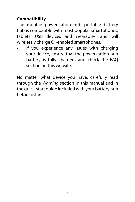#### **Compatibility**

The mophie powerstation hub portable battery hub is compatible with most popular smartphones, tablets, USB devices and wearables, and will wirelessly charge Qi-enabled smartphones.

If you experience any issues with charging your device, ensure that the powerstation hub battery is fully charged, and check the FAQ section on this website.

No matter what device you have, carefully read through the *Warning* section in this manual and in the quick-start guide included with your battery hub before using it.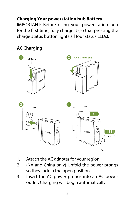#### **Charging Your powerstation hub Battery**

IMPORTANT: Before using your powerstation hub for the first time, fully charge it (so that pressing the charge status button lights all four status LEDs).

#### **AC Charging**



- 1. Attach the AC adapter for your region.
- 2. (NA and China only) Unfold the power prongs so they lock in the open position.
- 3. Insert the AC power prongs into an AC power outlet. Charging will begin automatically.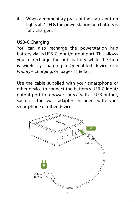4. When a momentary press of the status button lights all 4 LEDs the powerstation hub battery is fully charged.

#### **USB-C Charging**

You can also recharge the powerstation hub battery via its USB-C input/output port. This allows you to recharge the hub battery while the hub is wirelessly charging a Qi-enabled device (see *Priority+ Charging*, on pages 11 & 12).

Use the cable supplied with your smartphone or other device to connect the battery's USB-C input/ output port to a power source with a USB output, such as the wall adapter included with your smartphone or other device.

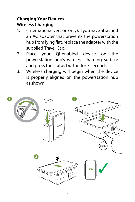#### **Charging Your Devices Wireless Charging**

- 1. (International version only): If you have attached an AC adapter that prevents the powerstation hub from lying flat, replace the adapter with the supplied Travel Cap.
- 2. Place your Qi-enabled device on the powerstation hub's wireless charging surface and press the status button for 3 seconds.
- 3. Wireless charging will begin when the device is properly aligned on the powerstation hub as shown.

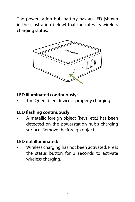The powerstation hub battery has an LED (shown in the illustration below) that indicates its wireless charging status.



#### **LED illuminated continuously:**

The Qi-enabled device is properly charging.

#### **LED flashing continuously:**

• A metallic foreign object (keys, etc.) has been detected on the powerstation hub's charging surface. Remove the foreign object.

#### **LED not illuminated:**

• Wireless charging has not been activated. Press the status button for 3 seconds to activate wireless charging.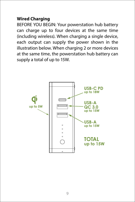#### **Wired Charging**

BEFORE YOU BEGIN: Your powerstation hub battery can charge up to four devices at the same time (including wireless). When charging a single device, each output can supply the power shown in the illustration below. When charging 2 or more devices at the same time, the powerstation hub battery can supply a total of up to 15W.

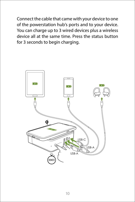Connect the cable that came with your device to one of the powerstation hub's ports and to your device. You can charge up to 3 wired devices plus a wireless device all at the same time. Press the status button for 3 seconds to begin charging.

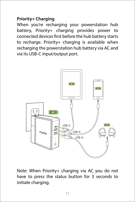#### **Priority+ Charging**

When you're recharging your powerstation hub battery, Priority+ charging provides power to connected devices first before the hub battery starts to recharge. Priority+ charging is available when recharging the powerstation hub battery via AC and via its USB-C input/output port.



Note: When Priority+ charging via AC you do not have to press the status button for 3 seconds to initiate charging.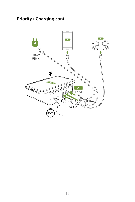#### **Priority+ Charging cont.**

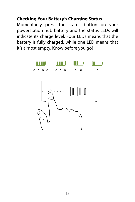#### **Checking Your Battery's Charging Status**

Momentarily press the status button on your powerstation hub battery and the status LEDs will indicate its charge level. Four LEDs means that the battery is fully charged, while one LED means that it's almost empty. Know before you go!

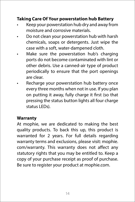#### **Taking Care Of Your powerstation hub Battery**

- Keep your powerstation hub dry and away from moisture and corrosive materials.
- Do not clean your powerstation hub with harsh chemicals, soaps or detergents. Just wipe the case with a soft, water-dampened cloth.
- Make sure the powerstation hub's charging ports do not become contaminated with lint or other debris. Use a canned-air type of product periodically to ensure that the port openings are clear.
- Recharge your powerstation hub battery once every three months when not in use. If you plan on putting it away, fully charge it first (so that pressing the status button lights all four charge status LEDs).

#### **Warranty**

At mophie, we are dedicated to making the best quality products. To back this up, this product is warranted for 2 years. For full details regarding warranty terms and exclusions, please visit: mophie. com/warranty. This warranty does not affect any statutory rights that you may be entitled to. Keep a copy of your purchase receipt as proof of purchase. Be sure to register your product at mophie.com.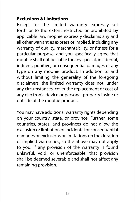#### **Exclusions & Limitations**

Except for the limited warranty expressly set forth or to the extent restricted or prohibited by applicable law, mophie expressly disclaims any and all other warranties express or implied, including any warranty of quality, merchantability, or fitness for a particular purpose, and you specifically agree that mophie shall not be liable for any special, incidental, indirect, punitive, or consequential damages of any type on any mophie product. In addition to and without limiting the generality of the foregoing disclaimers, the limited warranty does not, under any circumstances, cover the replacement or cost of any electronic device or personal property inside or outside of the mophie product.

You may have additional warranty rights depending on your country, state, or province. Further, some countries, states, and provinces do not allow the exclusion or limitation of incidental or consequential damages or exclusions or limitations on the duration of implied warranties, so the above may not apply to you. If any provision of the warranty is found unlawful, void, or unenforceable, that provision shall be deemed severable and shall not affect any remaining provision.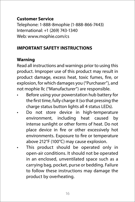#### **Customer Service**

Telephone: 1-888-8mophie (1-888-866-7443) International: +1 (269) 743-1340 Web: www.mophie.com/cs

#### **IMPORTANT SAFETY INSTRUCTIONS**

#### **Warning**

Read all instructions and warnings prior to using this product. Improper use of this product may result in product damage, excess heat, toxic fumes, fire, or explosion, for which damages you ("Purchaser"), and not mophie llc ("Manufacturer") are responsible.

- Before using your powerstation hub battery for the first time, fully charge it (so that pressing the charge status button lights all 4 status LEDs).
- Do not store device in high-temperature environment, including heat caused by intense sunlight or other forms of heat. Do not place device in fire or other excessively hot environments. Exposure to fire or temperature above 212°F (100°C) may cause explosion.
- This product should be operated only in open-air conditions. It should not be operated in an enclosed, unventilated space such as a carrying bag, pocket, purse or bedding. Failure to follow these instructions may damage the product by overheating.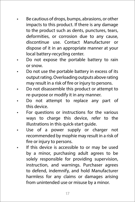- Be cautious of drops, bumps, abrasions, or other impacts to this product. If there is any damage to the product such as dents, punctures, tears, deformities, or corrosion due to any cause, discontinue use. Contact Manufacturer or dispose of it in an appropriate manner at your local battery-recycling center.
- Do not expose the portable battery to rain or snow.
- Do not use the portable battery in excess of its output rating. Overloading outputs above rating may result in a risk of fire or injury to persons.
- Do not disassemble this product or attempt to re-purpose or modify it in any manner.
- Do not attempt to replace any part of this device.
- For questions or instructions for the various ways to charge this device, refer to the illustrations in this quick-start guide.
- Use of a power supply or charger not recommended by mophie may result in a risk of fire or injury to persons.
- If this device is accessible to or may be used by a minor, purchasing adult agrees to be solely responsible for providing supervision, instruction, and warnings. Purchaser agrees to defend, indemnify, and hold Manufacturer harmless for any claims or damages arising from unintended use or misuse by a minor.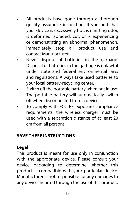- All products have gone through a thorough quality assurance inspection. If you find that your device is excessively hot, is emitting odor, is deformed, abraded, cut, or is experiencing or demonstrating an abnormal phenomenon, immediately stop all product use and contact Manufacturer.
- Never dispose of batteries in the garbage. Disposal of batteries in the garbage is unlawful under state and federal environmental laws and regulations. Always take used batteries to your local battery-recycling center.
- Switch off the portable battery when not in use. The portable battery will automatically switch off when disconnected from a device.
- To comply with FCC RF exposure compliance requirements, the wireless charger must be used with a separation distance of at least 20 cm from all persons.

#### **SAVE THESE INSTRUCTIONS**

#### **Legal**

This product is meant for use only in conjunction with the appropriate device. Please consult your device packaging to determine whether this product is compatible with your particular device. Manufacturer is not responsible for any damages to any device incurred through the use of this product.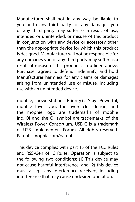Manufacturer shall not in any way be liable to you or to any third party for any damages you or any third party may suffer as a result of use, intended or unintended, or misuse of this product in conjunction with any device or accessory other than the appropriate device for which this product is designed. Manufacturer will not be responsible for any damages you or any third party may suffer as a result of misuse of this product as outlined above. Purchaser agrees to defend, indemnify, and hold Manufacturer harmless for any claims or damages arising from unintended use or misuse, including use with an unintended device.

mophie, powerstation, Priority+, Stay Powerful, mophie loves you, the five-circles design, and the mophie logo are trademarks of mophie inc. Qi and the Qi symbol are trademarks of the Wireless Power Consortium. USB-C is a trademark of USB Implementers Forum. All rights reserved. Patents: mophie.com/patents.

This device complies with part 15 of the FCC Rules and RSS-Gen of IC Rules. Operation is subject to the following two conditions: (1) This device may not cause harmful interference, and (2) this device must accept any interference received, including interference that may cause undesired operation.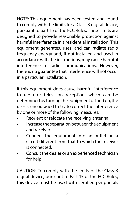NOTE: This equipment has been tested and found to comply with the limits for a Class B digital device, pursuant to part 15 of the FCC Rules. These limits are designed to provide reasonable protection against harmful interference in a residential installation. This equipment generates, uses, and can radiate radio frequency energy and, if not installed and used in accordance with the instructions, may cause harmful interference to radio communications. However, there is no guarantee that interference will not occur in a particular installation.

If this equipment does cause harmful interference to radio or television reception, which can be determined by turning the equipment off and on, the user is encouraged to try to correct the interference by one or more of the following measures:

- Reorient or relocate the receiving antenna.
- Increase the separation between the equipment and receiver.
- Connect the equipment into an outlet on a circuit different from that to which the receiver is connected.
- Consult the dealer or an experienced technician for help.

CAUTION: To comply with the limits of the Class B digital device, pursuant to Part 15 of the FCC Rules, this device must be used with certified peripherals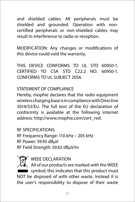and shielded cables. All peripherals must be shielded and grounded. Operation with noncertified peripherals or non-shielded cables may result in interference to radio or reception.

MODIFICATION: Any changes or modifications of this device could void the warranty.

THIS DEVICE CONFORMS TO UL STD 60950-1. CERTIFIED TO CSA STD C22.2 NO. 60950-1. CONFORMS TO UL SUBJECT 2056.

#### STATEMENT OF COMPLIANCE

Hereby, mophie declares that the radio equipment wireless charging base is in compliance with Directive 2014/53/EU. The full text of the EU declaration of conformity is available at the following internet address: http://www.mophie.com/cert\_red.

RF SPECIFICATIONS: RF Frequency Range: 110 kHz – 205 kHz RF Power: 59.93 dBµV RF Field Strength: 59.62 dBµV/m



WEEE DECLARATION

All of our products are marked with the WEEE symbol; this indicates that this product must NOT be disposed of with other waste. Instead it is the user's responsibility to dispose of their waste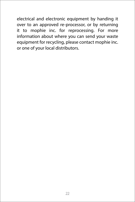electrical and electronic equipment by handing it over to an approved re-processor, or by returning it to mophie inc. for reprocessing. For more information about where you can send your waste equipment for recycling, please contact mophie inc. or one of your local distributors.